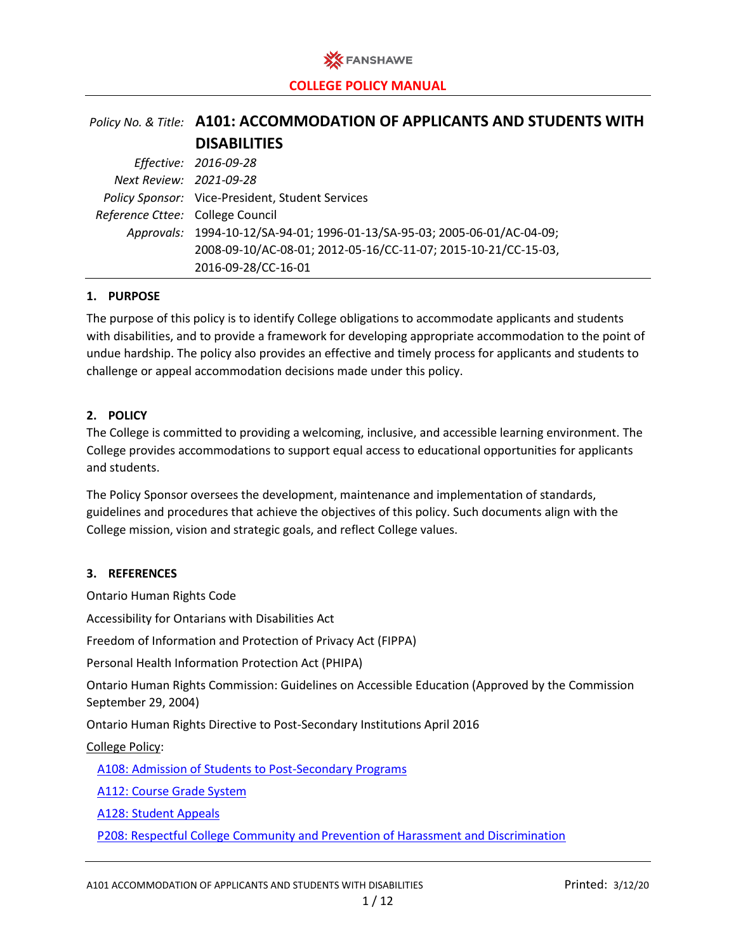

# *Policy No. & Title:* **A101: ACCOMMODATION OF APPLICANTS AND STUDENTS WITH DISABILITIES**

|                                  | Effective: 2016-09-28                                                     |
|----------------------------------|---------------------------------------------------------------------------|
| Next Review: 2021-09-28          |                                                                           |
|                                  | Policy Sponsor: Vice-President, Student Services                          |
| Reference Cttee: College Council |                                                                           |
|                                  | Approvals: 1994-10-12/SA-94-01; 1996-01-13/SA-95-03; 2005-06-01/AC-04-09; |
|                                  | 2008-09-10/AC-08-01; 2012-05-16/CC-11-07; 2015-10-21/CC-15-03,            |
|                                  | 2016-09-28/CC-16-01                                                       |

## **1. PURPOSE**

The purpose of this policy is to identify College obligations to accommodate applicants and students with disabilities, and to provide a framework for developing appropriate accommodation to the point of undue hardship. The policy also provides an effective and timely process for applicants and students to challenge or appeal accommodation decisions made under this policy.

## **2. POLICY**

The College is committed to providing a welcoming, inclusive, and accessible learning environment. The College provides accommodations to support equal access to educational opportunities for applicants and students.

The Policy Sponsor oversees the development, maintenance and implementation of standards, guidelines and procedures that achieve the objectives of this policy. Such documents align with the College mission, vision and strategic goals, and reflect College values.

#### **3. REFERENCES**

Ontario Human Rights Code

Accessibility for Ontarians with Disabilities Act

Freedom of Information and Protection of Privacy Act (FIPPA)

Personal Health Information Protection Act (PHIPA)

Ontario Human Rights Commission: Guidelines on Accessible Education (Approved by the Commission September 29, 2004)

Ontario Human Rights Directive to Post-Secondary Institutions April 2016

College Policy:

[A108: Admission of Students to Post-Secondary Programs](https://www.fanshawec.ca/sites/default/files/legacy/oldfanshawe/sites/default/files/assets/policies/pdf/a108.pdf)

[A112: Course Grade System](https://www.fanshawec.ca/sites/default/files/legacy/oldfanshawe/sites/default/files/assets/policies/pdf/a112.pdf)

[A128: Student Appeals](https://www.fanshawec.ca/sites/default/files/legacy/oldfanshawe/sites/default/files/assets/policies/pdf/a128.pdf)

P208: Respectful [College Community and Prevention of Harassment and Discrimination](https://www.fanshawec.ca/sites/default/files/legacy/oldfanshawe/sites/default/files/assets/policies/pdf/p208.pdf)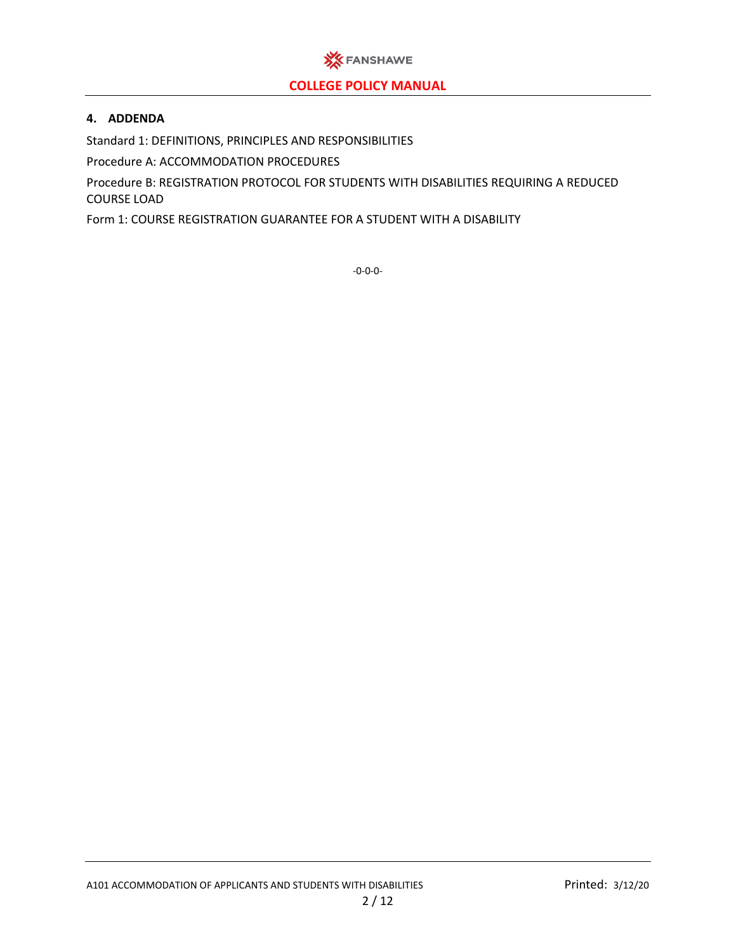

## **4. ADDENDA**

Standard 1: DEFINITIONS, PRINCIPLES AND RESPONSIBILITIES

Procedure A: ACCOMMODATION PROCEDURES

Procedure B: REGISTRATION PROTOCOL FOR STUDENTS WITH DISABILITIES REQUIRING A REDUCED COURSE LOAD

Form 1: COURSE REGISTRATION GUARANTEE FOR A STUDENT WITH A DISABILITY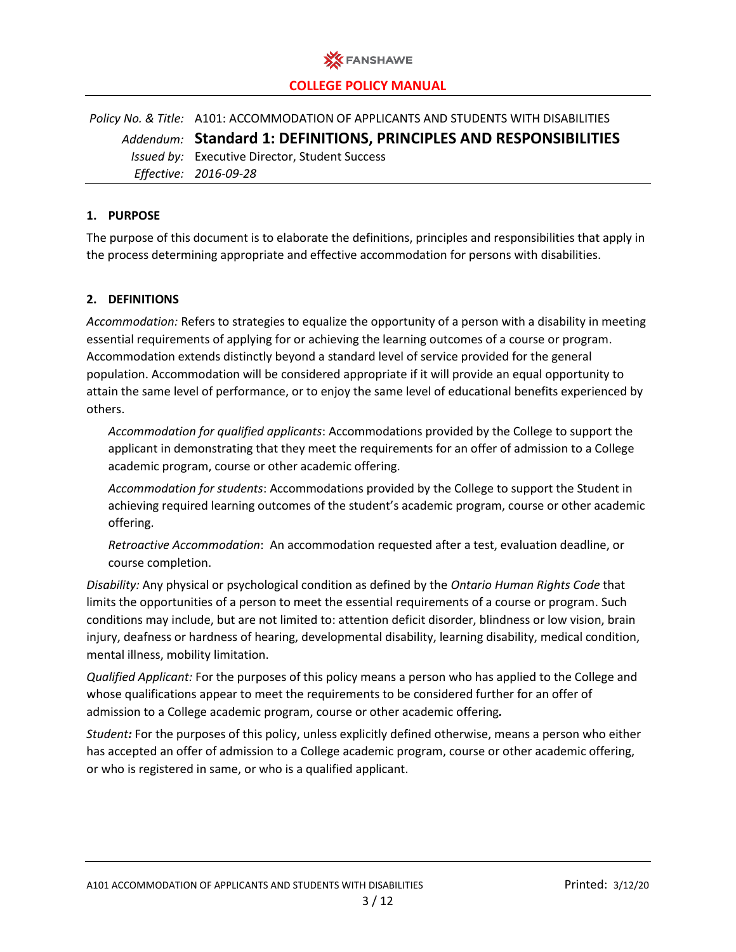

*Policy No. & Title:* A101: ACCOMMODATION OF APPLICANTS AND STUDENTS WITH DISABILITIES *Addendum:* **Standard 1: DEFINITIONS, PRINCIPLES AND RESPONSIBILITIES** *Issued by:* Executive Director, Student Success *Effective: 2016-09-28*

## **1. PURPOSE**

The purpose of this document is to elaborate the definitions, principles and responsibilities that apply in the process determining appropriate and effective accommodation for persons with disabilities.

## **2. DEFINITIONS**

*Accommodation:* Refers to strategies to equalize the opportunity of a person with a disability in meeting essential requirements of applying for or achieving the learning outcomes of a course or program. Accommodation extends distinctly beyond a standard level of service provided for the general population. Accommodation will be considered appropriate if it will provide an equal opportunity to attain the same level of performance, or to enjoy the same level of educational benefits experienced by others.

*Accommodation for qualified applicants*: Accommodations provided by the College to support the applicant in demonstrating that they meet the requirements for an offer of admission to a College academic program, course or other academic offering.

*Accommodation for students*: Accommodations provided by the College to support the Student in achieving required learning outcomes of the student's academic program, course or other academic offering.

*Retroactive Accommodation*: An accommodation requested after a test, evaluation deadline, or course completion.

*Disability:* Any physical or psychological condition as defined by the *Ontario Human Rights Code* that limits the opportunities of a person to meet the essential requirements of a course or program. Such conditions may include, but are not limited to: attention deficit disorder, blindness or low vision, brain injury, deafness or hardness of hearing, developmental disability, learning disability, medical condition, mental illness, mobility limitation.

*Qualified Applicant:* For the purposes of this policy means a person who has applied to the College and whose qualifications appear to meet the requirements to be considered further for an offer of admission to a College academic program, course or other academic offering*.* 

*Student:* For the purposes of this policy, unless explicitly defined otherwise, means a person who either has accepted an offer of admission to a College academic program, course or other academic offering, or who is registered in same, or who is a qualified applicant.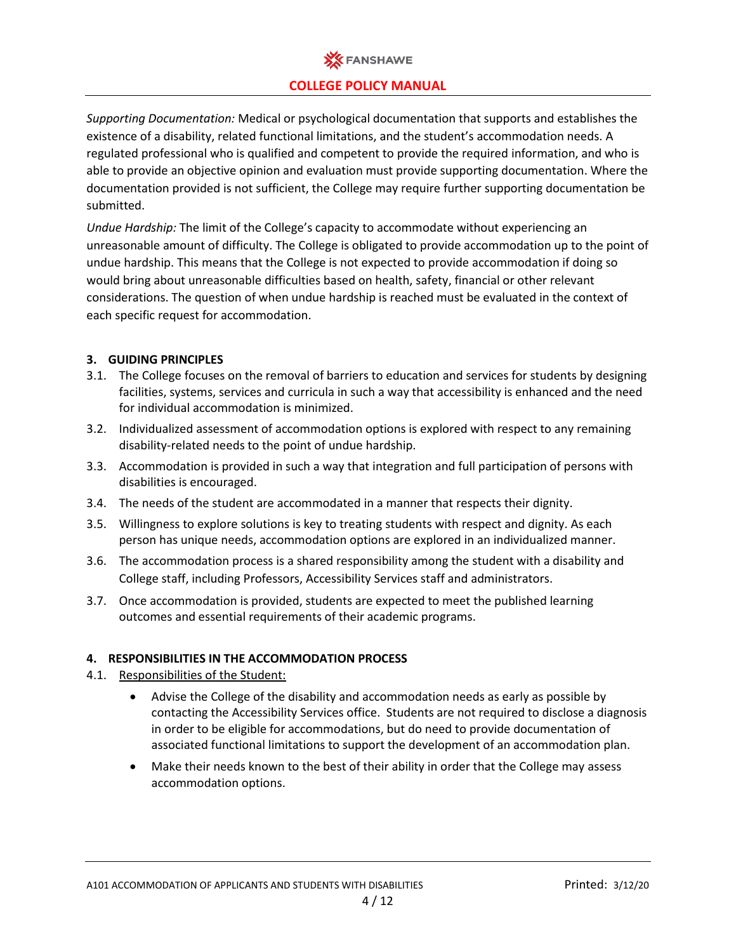

*Supporting Documentation:* Medical or psychological documentation that supports and establishes the existence of a disability, related functional limitations, and the student's accommodation needs. A regulated professional who is qualified and competent to provide the required information, and who is able to provide an objective opinion and evaluation must provide supporting documentation. Where the documentation provided is not sufficient, the College may require further supporting documentation be submitted.

*Undue Hardship:* The limit of the College's capacity to accommodate without experiencing an unreasonable amount of difficulty. The College is obligated to provide accommodation up to the point of undue hardship. This means that the College is not expected to provide accommodation if doing so would bring about unreasonable difficulties based on health, safety, financial or other relevant considerations. The question of when undue hardship is reached must be evaluated in the context of each specific request for accommodation.

## **3. GUIDING PRINCIPLES**

- 3.1. The College focuses on the removal of barriers to education and services for students by designing facilities, systems, services and curricula in such a way that accessibility is enhanced and the need for individual accommodation is minimized.
- 3.2. Individualized assessment of accommodation options is explored with respect to any remaining disability-related needs to the point of undue hardship.
- 3.3. Accommodation is provided in such a way that integration and full participation of persons with disabilities is encouraged.
- 3.4. The needs of the student are accommodated in a manner that respects their dignity.
- 3.5. Willingness to explore solutions is key to treating students with respect and dignity. As each person has unique needs, accommodation options are explored in an individualized manner.
- 3.6. The accommodation process is a shared responsibility among the student with a disability and College staff, including Professors, Accessibility Services staff and administrators.
- 3.7. Once accommodation is provided, students are expected to meet the published learning outcomes and essential requirements of their academic programs.

## **4. RESPONSIBILITIES IN THE ACCOMMODATION PROCESS**

- 4.1. Responsibilities of the Student:
	- Advise the College of the disability and accommodation needs as early as possible by contacting the Accessibility Services office. Students are not required to disclose a diagnosis in order to be eligible for accommodations, but do need to provide documentation of associated functional limitations to support the development of an accommodation plan.
	- Make their needs known to the best of their ability in order that the College may assess accommodation options.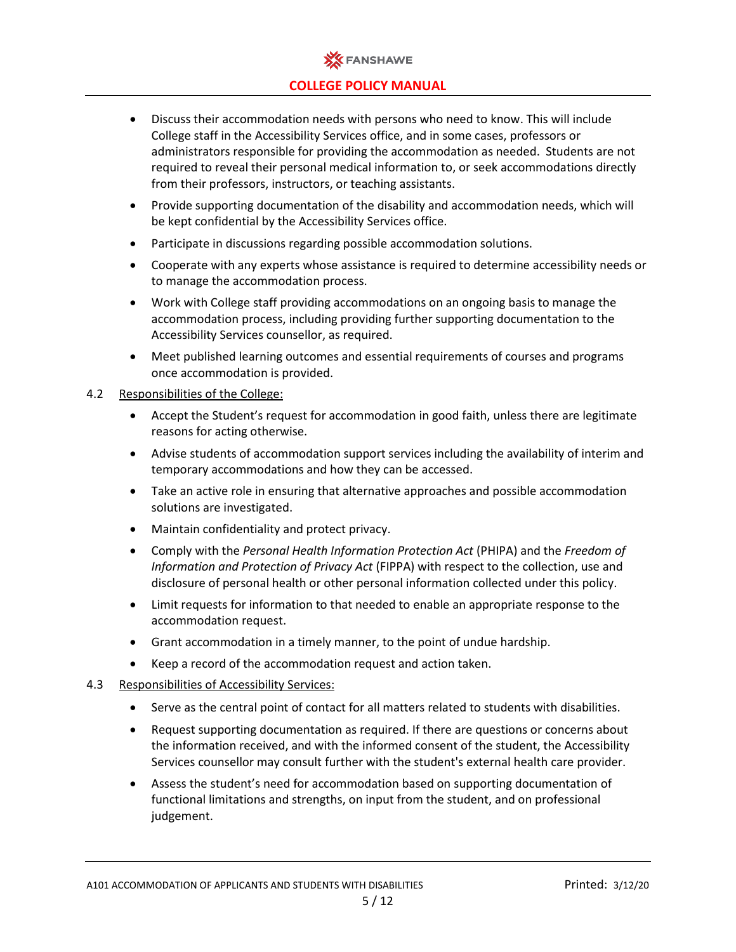

- Discuss their accommodation needs with persons who need to know. This will include College staff in the Accessibility Services office, and in some cases, professors or administrators responsible for providing the accommodation as needed. Students are not required to reveal their personal medical information to, or seek accommodations directly from their professors, instructors, or teaching assistants.
- Provide supporting documentation of the disability and accommodation needs, which will be kept confidential by the Accessibility Services office.
- Participate in discussions regarding possible accommodation solutions.
- Cooperate with any experts whose assistance is required to determine accessibility needs or to manage the accommodation process.
- Work with College staff providing accommodations on an ongoing basis to manage the accommodation process, including providing further supporting documentation to the Accessibility Services counsellor, as required.
- Meet published learning outcomes and essential requirements of courses and programs once accommodation is provided.

## 4.2 Responsibilities of the College:

- Accept the Student's request for accommodation in good faith, unless there are legitimate reasons for acting otherwise.
- Advise students of accommodation support services including the availability of interim and temporary accommodations and how they can be accessed.
- Take an active role in ensuring that alternative approaches and possible accommodation solutions are investigated.
- Maintain confidentiality and protect privacy.
- Comply with the *Personal Health Information Protection Act* (PHIPA) and the *Freedom of Information and Protection of Privacy Act* (FIPPA) with respect to the collection, use and disclosure of personal health or other personal information collected under this policy.
- Limit requests for information to that needed to enable an appropriate response to the accommodation request.
- Grant accommodation in a timely manner, to the point of undue hardship.
- Keep a record of the accommodation request and action taken.

## 4.3 Responsibilities of Accessibility Services:

- Serve as the central point of contact for all matters related to students with disabilities.
- Request supporting documentation as required. If there are questions or concerns about the information received, and with the informed consent of the student, the Accessibility Services counsellor may consult further with the student's external health care provider.
- Assess the student's need for accommodation based on supporting documentation of functional limitations and strengths, on input from the student, and on professional judgement.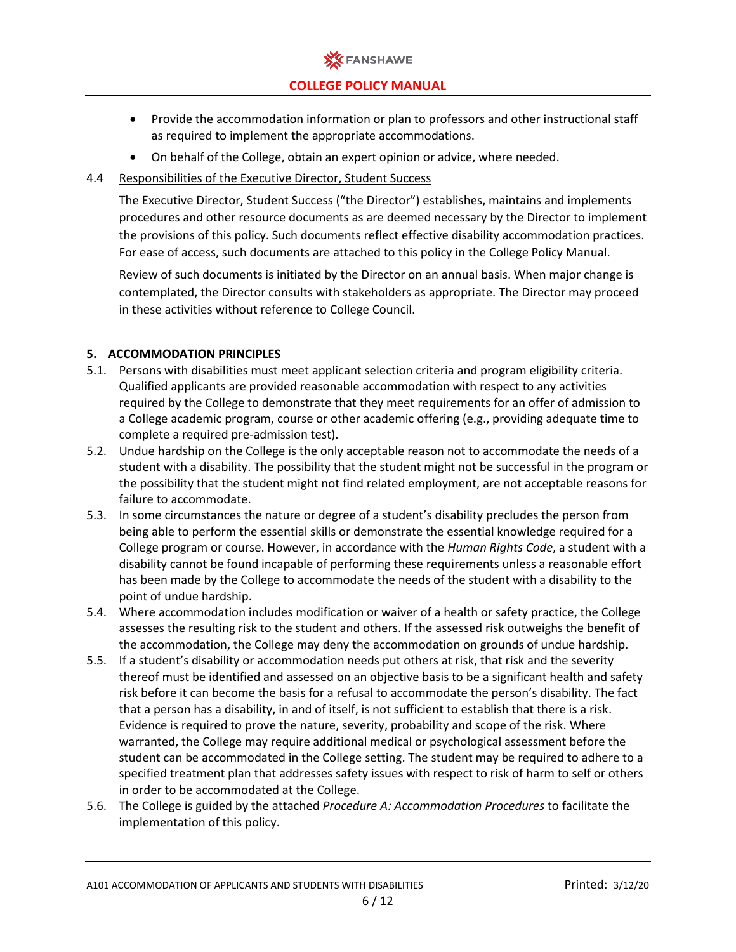

- Provide the accommodation information or plan to professors and other instructional staff as required to implement the appropriate accommodations.
- On behalf of the College, obtain an expert opinion or advice, where needed.

## 4.4 Responsibilities of the Executive Director, Student Success

The Executive Director, Student Success ("the Director") establishes, maintains and implements procedures and other resource documents as are deemed necessary by the Director to implement the provisions of this policy. Such documents reflect effective disability accommodation practices. For ease of access, such documents are attached to this policy in the College Policy Manual.

Review of such documents is initiated by the Director on an annual basis. When major change is contemplated, the Director consults with stakeholders as appropriate. The Director may proceed in these activities without reference to College Council.

## **5. ACCOMMODATION PRINCIPLES**

- 5.1. Persons with disabilities must meet applicant selection criteria and program eligibility criteria. Qualified applicants are provided reasonable accommodation with respect to any activities required by the College to demonstrate that they meet requirements for an offer of admission to a College academic program, course or other academic offering (e.g., providing adequate time to complete a required pre-admission test).
- 5.2. Undue hardship on the College is the only acceptable reason not to accommodate the needs of a student with a disability. The possibility that the student might not be successful in the program or the possibility that the student might not find related employment, are not acceptable reasons for failure to accommodate.
- 5.3. In some circumstances the nature or degree of a student's disability precludes the person from being able to perform the essential skills or demonstrate the essential knowledge required for a College program or course. However, in accordance with the *Human Rights Code*, a student with a disability cannot be found incapable of performing these requirements unless a reasonable effort has been made by the College to accommodate the needs of the student with a disability to the point of undue hardship.
- 5.4. Where accommodation includes modification or waiver of a health or safety practice, the College assesses the resulting risk to the student and others. If the assessed risk outweighs the benefit of the accommodation, the College may deny the accommodation on grounds of undue hardship.
- 5.5. If a student's disability or accommodation needs put others at risk, that risk and the severity thereof must be identified and assessed on an objective basis to be a significant health and safety risk before it can become the basis for a refusal to accommodate the person's disability. The fact that a person has a disability, in and of itself, is not sufficient to establish that there is a risk. Evidence is required to prove the nature, severity, probability and scope of the risk. Where warranted, the College may require additional medical or psychological assessment before the student can be accommodated in the College setting. The student may be required to adhere to a specified treatment plan that addresses safety issues with respect to risk of harm to self or others in order to be accommodated at the College.
- 5.6. The College is guided by the attached *Procedure A: Accommodation Procedures* to facilitate the implementation of this policy.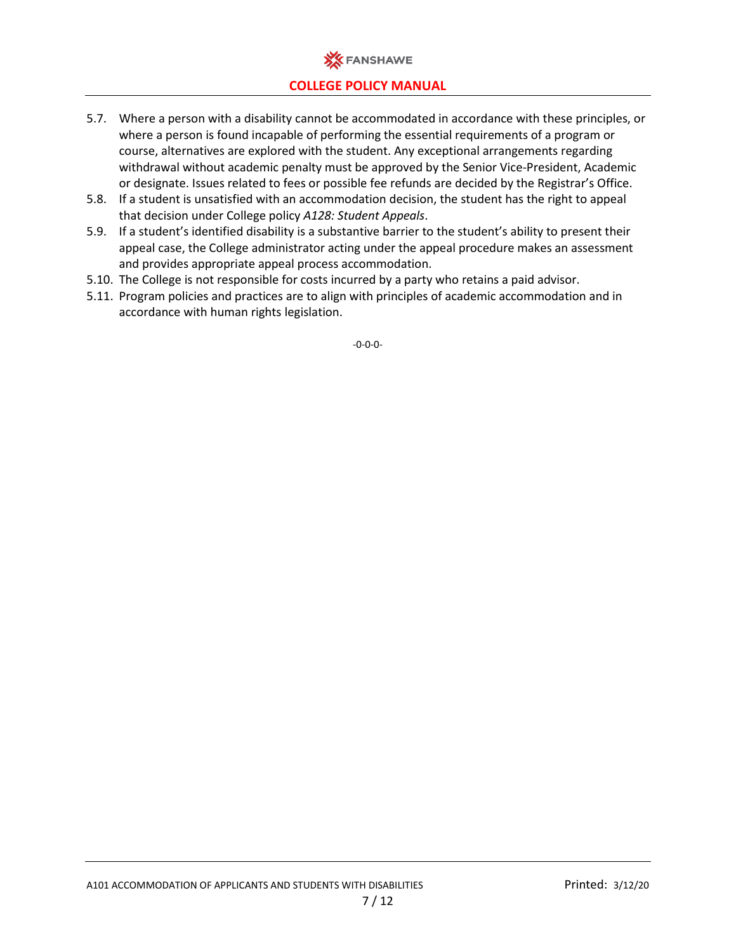

- 5.7. Where a person with a disability cannot be accommodated in accordance with these principles, or where a person is found incapable of performing the essential requirements of a program or course, alternatives are explored with the student. Any exceptional arrangements regarding withdrawal without academic penalty must be approved by the Senior Vice-President, Academic or designate. Issues related to fees or possible fee refunds are decided by the Registrar's Office.
- 5.8. If a student is unsatisfied with an accommodation decision, the student has the right to appeal that decision under College policy *A128: Student Appeals*.
- 5.9. If a student's identified disability is a substantive barrier to the student's ability to present their appeal case, the College administrator acting under the appeal procedure makes an assessment and provides appropriate appeal process accommodation.
- 5.10. The College is not responsible for costs incurred by a party who retains a paid advisor.
- 5.11. Program policies and practices are to align with principles of academic accommodation and in accordance with human rights legislation.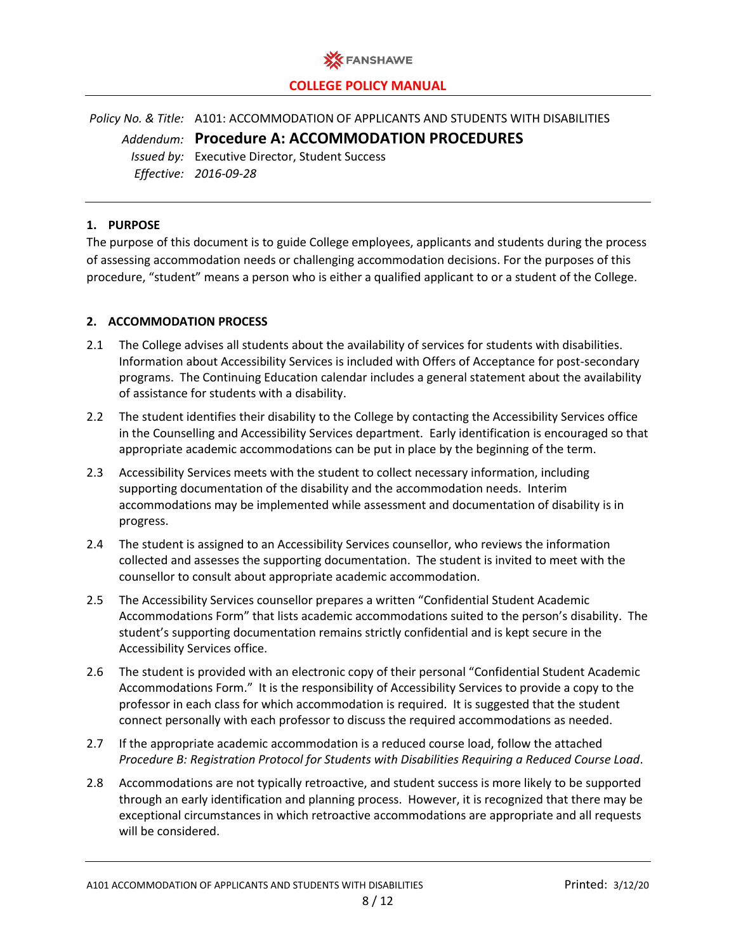

*Policy No. & Title:* A101: ACCOMMODATION OF APPLICANTS AND STUDENTS WITH DISABILITIES *Addendum:* **Procedure A: ACCOMMODATION PROCEDURES** *Issued by:* Executive Director, Student Success *Effective: 2016-09-28*

## **1. PURPOSE**

The purpose of this document is to guide College employees, applicants and students during the process of assessing accommodation needs or challenging accommodation decisions. For the purposes of this procedure, "student" means a person who is either a qualified applicant to or a student of the College.

## **2. ACCOMMODATION PROCESS**

- 2.1 The College advises all students about the availability of services for students with disabilities. Information about Accessibility Services is included with Offers of Acceptance for post-secondary programs. The Continuing Education calendar includes a general statement about the availability of assistance for students with a disability.
- 2.2 The student identifies their disability to the College by contacting the Accessibility Services office in the Counselling and Accessibility Services department. Early identification is encouraged so that appropriate academic accommodations can be put in place by the beginning of the term.
- 2.3 Accessibility Services meets with the student to collect necessary information, including supporting documentation of the disability and the accommodation needs. Interim accommodations may be implemented while assessment and documentation of disability is in progress.
- 2.4 The student is assigned to an Accessibility Services counsellor, who reviews the information collected and assesses the supporting documentation. The student is invited to meet with the counsellor to consult about appropriate academic accommodation.
- 2.5 The Accessibility Services counsellor prepares a written "Confidential Student Academic Accommodations Form" that lists academic accommodations suited to the person's disability. The student's supporting documentation remains strictly confidential and is kept secure in the Accessibility Services office.
- 2.6 The student is provided with an electronic copy of their personal "Confidential Student Academic Accommodations Form." It is the responsibility of Accessibility Services to provide a copy to the professor in each class for which accommodation is required. It is suggested that the student connect personally with each professor to discuss the required accommodations as needed.
- 2.7 If the appropriate academic accommodation is a reduced course load, follow the attached *Procedure B: Registration Protocol for Students with Disabilities Requiring a Reduced Course Load*.
- 2.8 Accommodations are not typically retroactive, and student success is more likely to be supported through an early identification and planning process. However, it is recognized that there may be exceptional circumstances in which retroactive accommodations are appropriate and all requests will be considered.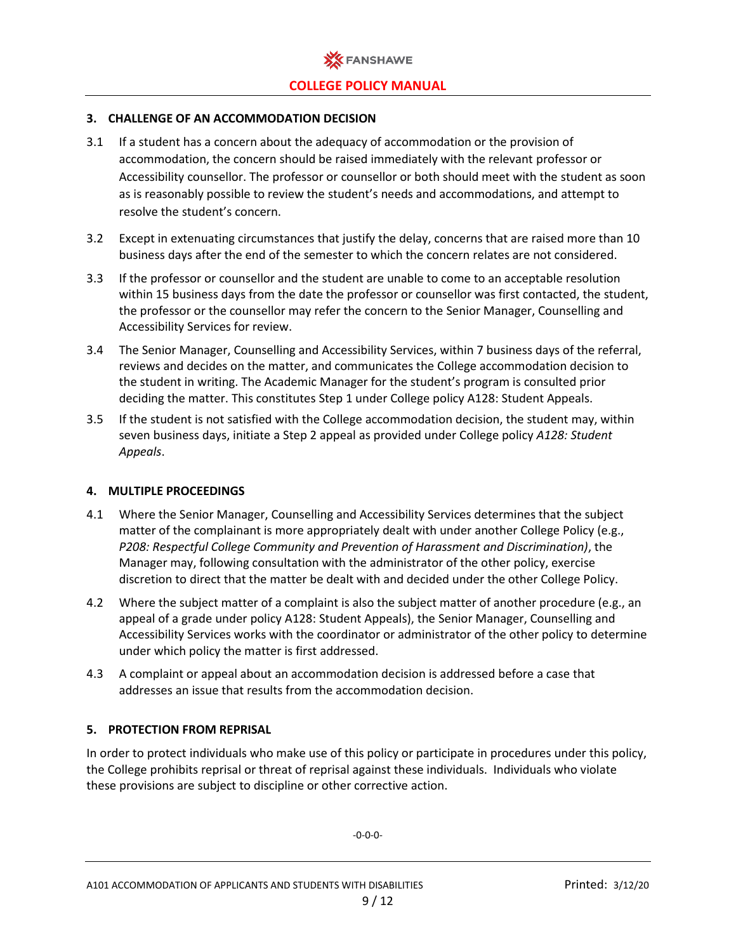

#### **3. CHALLENGE OF AN ACCOMMODATION DECISION**

- 3.1 If a student has a concern about the adequacy of accommodation or the provision of accommodation, the concern should be raised immediately with the relevant professor or Accessibility counsellor. The professor or counsellor or both should meet with the student as soon as is reasonably possible to review the student's needs and accommodations, and attempt to resolve the student's concern.
- 3.2 Except in extenuating circumstances that justify the delay, concerns that are raised more than 10 business days after the end of the semester to which the concern relates are not considered.
- 3.3 If the professor or counsellor and the student are unable to come to an acceptable resolution within 15 business days from the date the professor or counsellor was first contacted, the student, the professor or the counsellor may refer the concern to the Senior Manager, Counselling and Accessibility Services for review.
- 3.4 The Senior Manager, Counselling and Accessibility Services, within 7 business days of the referral, reviews and decides on the matter, and communicates the College accommodation decision to the student in writing. The Academic Manager for the student's program is consulted prior deciding the matter. This constitutes Step 1 under College policy A128: Student Appeals.
- 3.5 If the student is not satisfied with the College accommodation decision, the student may, within seven business days, initiate a Step 2 appeal as provided under College policy *A128: Student Appeals*.

#### **4. MULTIPLE PROCEEDINGS**

- 4.1 Where the Senior Manager, Counselling and Accessibility Services determines that the subject matter of the complainant is more appropriately dealt with under another College Policy (e.g., *P208: Respectful College Community and Prevention of Harassment and Discrimination)*, the Manager may, following consultation with the administrator of the other policy, exercise discretion to direct that the matter be dealt with and decided under the other College Policy.
- 4.2 Where the subject matter of a complaint is also the subject matter of another procedure (e.g., an appeal of a grade under policy A128: Student Appeals), the Senior Manager, Counselling and Accessibility Services works with the coordinator or administrator of the other policy to determine under which policy the matter is first addressed.
- 4.3 A complaint or appeal about an accommodation decision is addressed before a case that addresses an issue that results from the accommodation decision.

## **5. PROTECTION FROM REPRISAL**

In order to protect individuals who make use of this policy or participate in procedures under this policy, the College prohibits reprisal or threat of reprisal against these individuals. Individuals who violate these provisions are subject to discipline or other corrective action.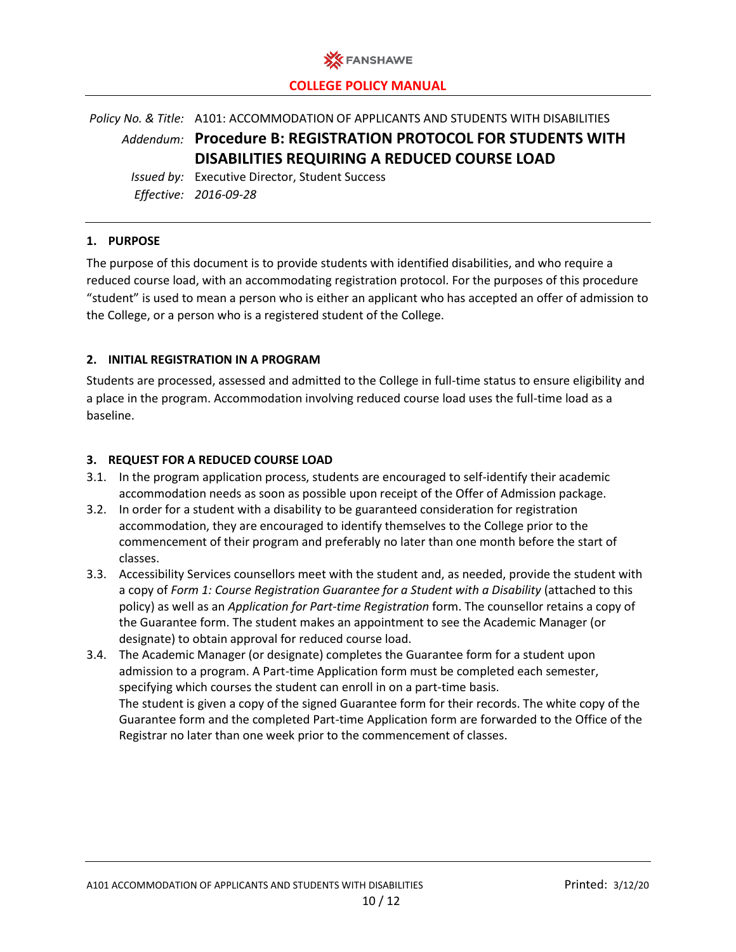

*Policy No. & Title:* A101: ACCOMMODATION OF APPLICANTS AND STUDENTS WITH DISABILITIES *Addendum:* **Procedure B: REGISTRATION PROTOCOL FOR STUDENTS WITH DISABILITIES REQUIRING A REDUCED COURSE LOAD**

*Issued by:* Executive Director, Student Success *Effective: 2016-09-28*

## **1. PURPOSE**

The purpose of this document is to provide students with identified disabilities, and who require a reduced course load, with an accommodating registration protocol. For the purposes of this procedure "student" is used to mean a person who is either an applicant who has accepted an offer of admission to the College, or a person who is a registered student of the College.

## **2. INITIAL REGISTRATION IN A PROGRAM**

Students are processed, assessed and admitted to the College in full-time status to ensure eligibility and a place in the program. Accommodation involving reduced course load uses the full-time load as a baseline.

## **3. REQUEST FOR A REDUCED COURSE LOAD**

- 3.1. In the program application process, students are encouraged to self-identify their academic accommodation needs as soon as possible upon receipt of the Offer of Admission package.
- 3.2. In order for a student with a disability to be guaranteed consideration for registration accommodation, they are encouraged to identify themselves to the College prior to the commencement of their program and preferably no later than one month before the start of classes.
- 3.3. Accessibility Services counsellors meet with the student and, as needed, provide the student with a copy of *Form 1: Course Registration Guarantee for a Student with a Disability* (attached to this policy) as well as an *Application for Part-time Registration* form. The counsellor retains a copy of the Guarantee form. The student makes an appointment to see the Academic Manager (or designate) to obtain approval for reduced course load.
- 3.4. The Academic Manager (or designate) completes the Guarantee form for a student upon admission to a program. A Part-time Application form must be completed each semester, specifying which courses the student can enroll in on a part-time basis. The student is given a copy of the signed Guarantee form for their records. The white copy of the Guarantee form and the completed Part-time Application form are forwarded to the Office of the Registrar no later than one week prior to the commencement of classes.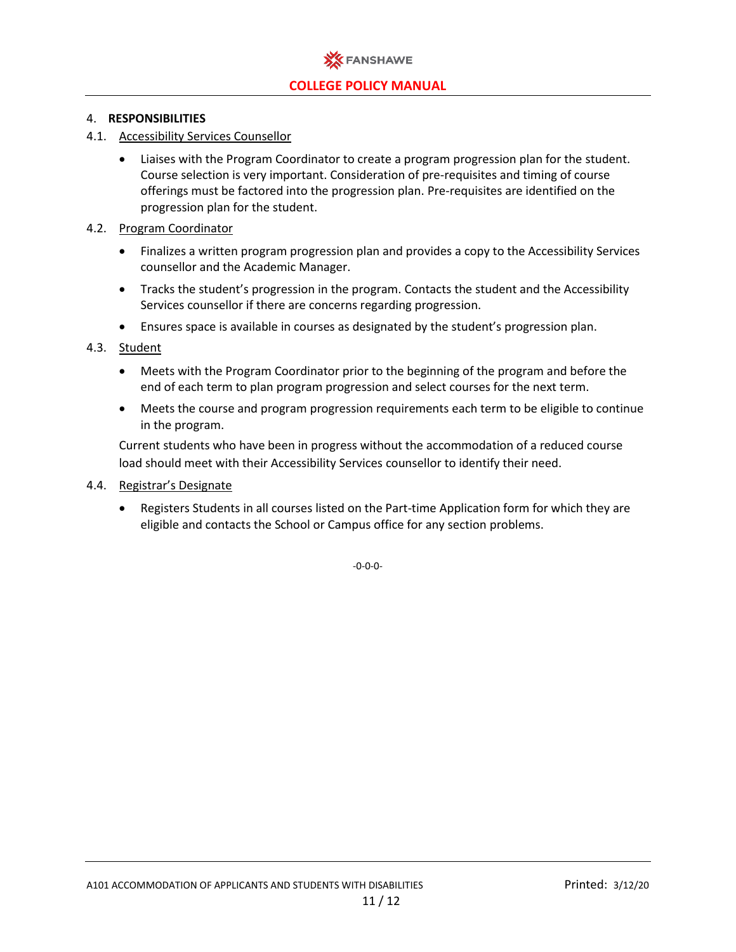

## 4. **RESPONSIBILITIES**

- 4.1. Accessibility Services Counsellor
	- Liaises with the Program Coordinator to create a program progression plan for the student. Course selection is very important. Consideration of pre-requisites and timing of course offerings must be factored into the progression plan. Pre-requisites are identified on the progression plan for the student.
- 4.2. Program Coordinator
	- Finalizes a written program progression plan and provides a copy to the Accessibility Services counsellor and the Academic Manager.
	- Tracks the student's progression in the program. Contacts the student and the Accessibility Services counsellor if there are concerns regarding progression.
	- Ensures space is available in courses as designated by the student's progression plan.
- 4.3. Student
	- Meets with the Program Coordinator prior to the beginning of the program and before the end of each term to plan program progression and select courses for the next term.
	- Meets the course and program progression requirements each term to be eligible to continue in the program.

Current students who have been in progress without the accommodation of a reduced course load should meet with their Accessibility Services counsellor to identify their need.

- 4.4. Registrar's Designate
	- Registers Students in all courses listed on the Part-time Application form for which they are eligible and contacts the School or Campus office for any section problems.